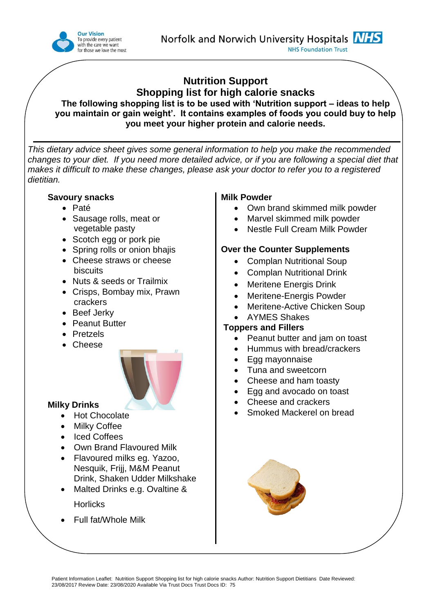

# **Nutrition Support Shopping list for high calorie snacks**

**The following shopping list is to be used with 'Nutrition support – ideas to help you maintain or gain weight'. It contains examples of foods you could buy to help you meet your higher protein and calorie needs.** 

*This dietary advice sheet gives some general information to help you make the recommended changes to your diet. If you need more detailed advice, or if you are following a special diet that makes it difficult to make these changes, please ask your doctor to refer you to a registered dietitian.*

## **Savoury snacks**

- Paté
- Sausage rolls, meat or vegetable pasty
- Scotch egg or pork pie
- Spring rolls or onion bhajis
- Cheese straws or cheese biscuits
- Nuts & seeds or Trailmix
- Crisps, Bombay mix, Prawn crackers
- Beef Jerky
- Peanut Butter
- **•** Pretzels
- Cheese



## **Milky Drinks**

- Hot Chocolate
- Milky Coffee
- Iced Coffees
- Own Brand Flavoured Milk
- Flavoured milks eg. Yazoo, Nesquik, Frijj, M&M Peanut Drink, Shaken Udder Milkshake
- Malted Drinks e.g. Ovaltine & **Horlicks**
- Full fat/Whole Milk

## **Milk Powder**

- Own brand skimmed milk powder
- Marvel skimmed milk powder
- Nestle Full Cream Milk Powder

#### **Over the Counter Supplements**

- Complan Nutritional Soup
- Complan Nutritional Drink
- Meritene Energis Drink
- Meritene-Energis Powder
- Meritene-Active Chicken Soup
- AYMES Shakes

#### **Toppers and Fillers**

- Peanut butter and jam on toast
- Hummus with bread/crackers
- Egg mayonnaise
- Tuna and sweetcorn
- Cheese and ham toasty
- Egg and avocado on toast
- Cheese and crackers
- Smoked Mackerel on bread